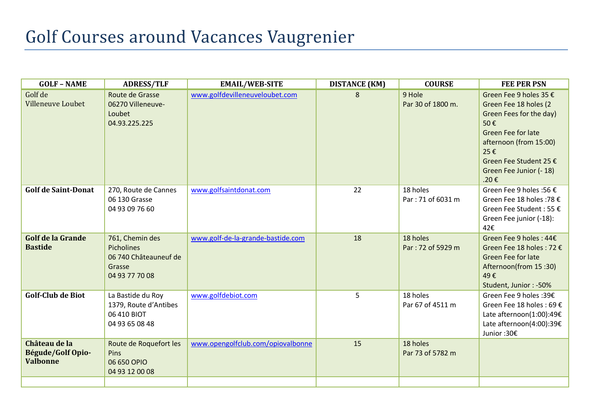## Golf Courses around Vacances Vaugrenier

| <b>GOLF - NAME</b>                                    | <b>ADRESS/TLF</b>                                                                  | <b>EMAIL/WEB-SITE</b>             | <b>DISTANCE (KM)</b> | <b>COURSE</b>                 | <b>FEE PER PSN</b>                                                                                                                                                                                           |
|-------------------------------------------------------|------------------------------------------------------------------------------------|-----------------------------------|----------------------|-------------------------------|--------------------------------------------------------------------------------------------------------------------------------------------------------------------------------------------------------------|
| Golf de<br><b>Villeneuve Loubet</b>                   | Route de Grasse<br>06270 Villeneuve-<br>Loubet<br>04.93.225.225                    | www.golfdevilleneuveloubet.com    | 8                    | 9 Hole<br>Par 30 of 1800 m.   | Green Fee 9 holes 35 €<br>Green Fee 18 holes (2<br>Green Fees for the day)<br>50€<br><b>Green Fee for late</b><br>afternoon (from 15:00)<br>25€<br>Green Fee Student 25 €<br>Green Fee Junior (- 18)<br>.20€ |
| <b>Golf de Saint-Donat</b>                            | 270, Route de Cannes<br>06 130 Grasse<br>04 93 09 76 60                            | www.golfsaintdonat.com            | 22                   | 18 holes<br>Par: 71 of 6031 m | Green Fee 9 holes :56 €<br>Green Fee 18 holes :78 €<br>Green Fee Student : 55 €<br>Green Fee junior (-18):<br>42€                                                                                            |
| <b>Golf de la Grande</b><br><b>Bastide</b>            | 761, Chemin des<br>Picholines<br>06 740 Châteauneuf de<br>Grasse<br>04 93 77 70 08 | www.golf-de-la-grande-bastide.com | 18                   | 18 holes<br>Par: 72 of 5929 m | Green Fee 9 holes : 44€<br>Green Fee 18 holes : 72 €<br><b>Green Fee for late</b><br>Afternoon(from 15:30)<br>49€<br>Student, Junior: -50%                                                                   |
| <b>Golf-Club de Biot</b>                              | La Bastide du Roy<br>1379, Route d'Antibes<br>06 410 BIOT<br>04 93 65 08 48        | www.golfdebiot.com                | 5                    | 18 holes<br>Par 67 of 4511 m  | Green Fee 9 holes :39€<br>Green Fee 18 holes : 69 €<br>Late afternoon(1:00):49€<br>Late afternoon(4:00):39€<br>Junior :30€                                                                                   |
| Château de la<br>Bégude/Golf Opio-<br><b>Valbonne</b> | Route de Roquefort les<br>Pins<br>06 650 OPIO<br>04 93 12 00 08                    | www.opengolfclub.com/opiovalbonne | 15                   | 18 holes<br>Par 73 of 5782 m  |                                                                                                                                                                                                              |
|                                                       |                                                                                    |                                   |                      |                               |                                                                                                                                                                                                              |